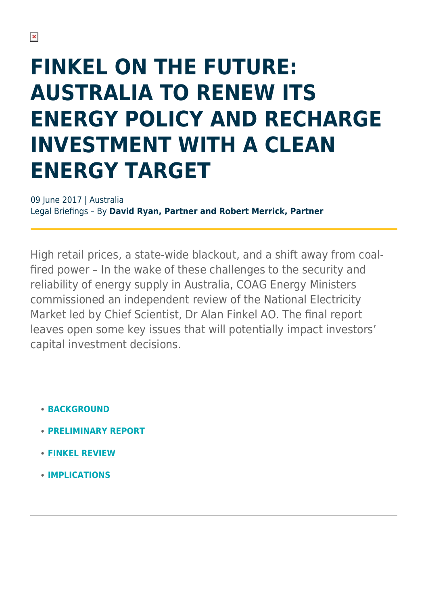# **FINKEL ON THE FUTURE: AUSTRALIA TO RENEW ITS ENERGY POLICY AND RECHARGE INVESTMENT WITH A CLEAN ENERGY TARGET**

09 June 2017 | Australia Legal Briefings – By **David Ryan, Partner and Robert Merrick, Partner**

High retail prices, a state-wide blackout, and a shift away from coalfired power – In the wake of these challenges to the security and reliability of energy supply in Australia, COAG Energy Ministers commissioned an independent review of the National Electricity Market led by Chief Scientist, Dr Alan Finkel AO. The final report leaves open some key issues that will potentially impact investors' capital investment decisions.

- **[BACKGROUND](https://www.herbertsmithfreehills.com/hsfpdf/latest-thinking/finkel-on-the-future-australia-to-renew-its-energy-policy-and-recharge-investment#Background)**
- **[PRELIMINARY REPORT](https://www.herbertsmithfreehills.com/hsfpdf/latest-thinking/finkel-on-the-future-australia-to-renew-its-energy-policy-and-recharge-investment#Preliminary)**
- **[FINKEL REVIEW](https://www.herbertsmithfreehills.com/hsfpdf/latest-thinking/finkel-on-the-future-australia-to-renew-its-energy-policy-and-recharge-investment#Finkel)**
- **[IMPLICATIONS](https://www.herbertsmithfreehills.com/hsfpdf/latest-thinking/finkel-on-the-future-australia-to-renew-its-energy-policy-and-recharge-investment#Implications)**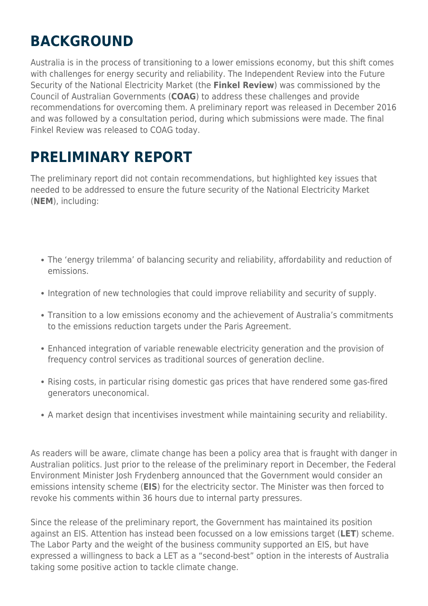## **BACKGROUND**

Australia is in the process of transitioning to a lower emissions economy, but this shift comes with challenges for energy security and reliability. The Independent Review into the Future Security of the National Electricity Market (the **Finkel Review**) was commissioned by the Council of Australian Governments (**COAG**) to address these challenges and provide recommendations for overcoming them. A preliminary report was released in December 2016 and was followed by a consultation period, during which submissions were made. The final Finkel Review was released to COAG today.

### **PRELIMINARY REPORT**

The preliminary report did not contain recommendations, but highlighted key issues that needed to be addressed to ensure the future security of the National Electricity Market (**NEM**), including:

- The 'energy trilemma' of balancing security and reliability, affordability and reduction of emissions.
- Integration of new technologies that could improve reliability and security of supply.
- Transition to a low emissions economy and the achievement of Australia's commitments to the emissions reduction targets under the Paris Agreement.
- Enhanced integration of variable renewable electricity generation and the provision of frequency control services as traditional sources of generation decline.
- Rising costs, in particular rising domestic gas prices that have rendered some gas-fired generators uneconomical.
- A market design that incentivises investment while maintaining security and reliability.

As readers will be aware, climate change has been a policy area that is fraught with danger in Australian politics. Just prior to the release of the preliminary report in December, the Federal Environment Minister Josh Frydenberg announced that the Government would consider an emissions intensity scheme (**EIS**) for the electricity sector. The Minister was then forced to revoke his comments within 36 hours due to internal party pressures.

Since the release of the preliminary report, the Government has maintained its position against an EIS. Attention has instead been focussed on a low emissions target (**LET**) scheme. The Labor Party and the weight of the business community supported an EIS, but have expressed a willingness to back a LET as a "second-best" option in the interests of Australia taking some positive action to tackle climate change.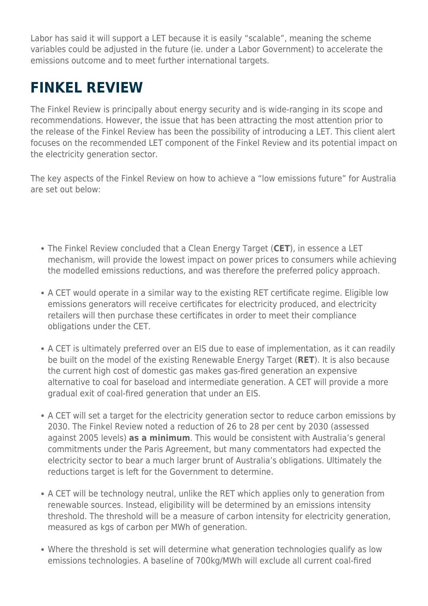Labor has said it will support a LET because it is easily "scalable", meaning the scheme variables could be adjusted in the future (ie. under a Labor Government) to accelerate the emissions outcome and to meet further international targets.

#### **FINKEL REVIEW**

The Finkel Review is principally about energy security and is wide-ranging in its scope and recommendations. However, the issue that has been attracting the most attention prior to the release of the Finkel Review has been the possibility of introducing a LET. This client alert focuses on the recommended LET component of the Finkel Review and its potential impact on the electricity generation sector.

The key aspects of the Finkel Review on how to achieve a "low emissions future" for Australia are set out below:

- The Finkel Review concluded that a Clean Energy Target (**CET**), in essence a LET mechanism, will provide the lowest impact on power prices to consumers while achieving the modelled emissions reductions, and was therefore the preferred policy approach.
- A CET would operate in a similar way to the existing RET certificate regime. Eligible low emissions generators will receive certificates for electricity produced, and electricity retailers will then purchase these certificates in order to meet their compliance obligations under the CET.
- A CET is ultimately preferred over an EIS due to ease of implementation, as it can readily be built on the model of the existing Renewable Energy Target (**RET**). It is also because the current high cost of domestic gas makes gas-fired generation an expensive alternative to coal for baseload and intermediate generation. A CET will provide a more gradual exit of coal-fired generation that under an EIS.
- A CET will set a target for the electricity generation sector to reduce carbon emissions by 2030. The Finkel Review noted a reduction of 26 to 28 per cent by 2030 (assessed against 2005 levels) **as a minimum**. This would be consistent with Australia's general commitments under the Paris Agreement, but many commentators had expected the electricity sector to bear a much larger brunt of Australia's obligations. Ultimately the reductions target is left for the Government to determine.
- A CET will be technology neutral, unlike the RET which applies only to generation from renewable sources. Instead, eligibility will be determined by an emissions intensity threshold. The threshold will be a measure of carbon intensity for electricity generation, measured as kgs of carbon per MWh of generation.
- Where the threshold is set will determine what generation technologies qualify as low emissions technologies. A baseline of 700kg/MWh will exclude all current coal-fired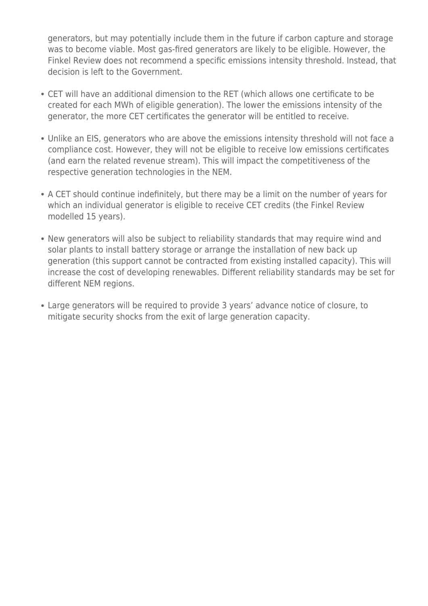generators, but may potentially include them in the future if carbon capture and storage was to become viable. Most gas-fired generators are likely to be eligible. However, the Finkel Review does not recommend a specific emissions intensity threshold. Instead, that decision is left to the Government.

- CET will have an additional dimension to the RET (which allows one certificate to be created for each MWh of eligible generation). The lower the emissions intensity of the generator, the more CET certificates the generator will be entitled to receive.
- Unlike an EIS, generators who are above the emissions intensity threshold will not face a compliance cost. However, they will not be eligible to receive low emissions certificates (and earn the related revenue stream). This will impact the competitiveness of the respective generation technologies in the NEM.
- A CET should continue indefinitely, but there may be a limit on the number of years for which an individual generator is eligible to receive CET credits (the Finkel Review modelled 15 years).
- New generators will also be subject to reliability standards that may require wind and solar plants to install battery storage or arrange the installation of new back up generation (this support cannot be contracted from existing installed capacity). This will increase the cost of developing renewables. Different reliability standards may be set for different NEM regions.
- Large generators will be required to provide 3 years' advance notice of closure, to mitigate security shocks from the exit of large generation capacity.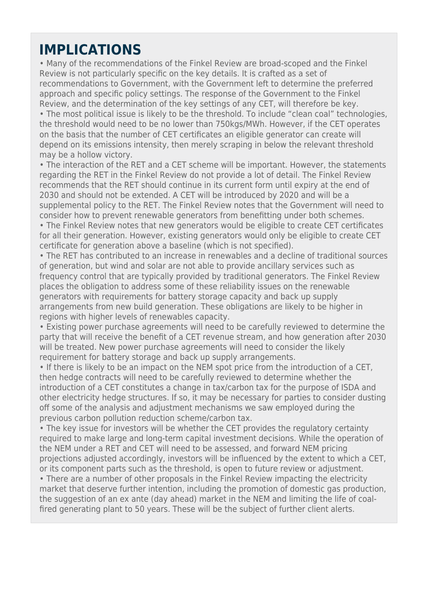#### **IMPLICATIONS**

• Many of the recommendations of the Finkel Review are broad-scoped and the Finkel Review is not particularly specific on the key details. It is crafted as a set of recommendations to Government, with the Government left to determine the preferred approach and specific policy settings. The response of the Government to the Finkel Review, and the determination of the key settings of any CET, will therefore be key.

• The most political issue is likely to be the threshold. To include "clean coal" technologies, the threshold would need to be no lower than 750kgs/MWh. However, if the CET operates on the basis that the number of CET certificates an eligible generator can create will depend on its emissions intensity, then merely scraping in below the relevant threshold may be a hollow victory.

• The interaction of the RET and a CET scheme will be important. However, the statements regarding the RET in the Finkel Review do not provide a lot of detail. The Finkel Review recommends that the RET should continue in its current form until expiry at the end of 2030 and should not be extended. A CET will be introduced by 2020 and will be a supplemental policy to the RET. The Finkel Review notes that the Government will need to consider how to prevent renewable generators from benefitting under both schemes. • The Finkel Review notes that new generators would be eligible to create CET certificates for all their generation. However, existing generators would only be eligible to create CET certificate for generation above a baseline (which is not specified).

• The RET has contributed to an increase in renewables and a decline of traditional sources of generation, but wind and solar are not able to provide ancillary services such as frequency control that are typically provided by traditional generators. The Finkel Review places the obligation to address some of these reliability issues on the renewable generators with requirements for battery storage capacity and back up supply arrangements from new build generation. These obligations are likely to be higher in regions with higher levels of renewables capacity.

• Existing power purchase agreements will need to be carefully reviewed to determine the party that will receive the benefit of a CET revenue stream, and how generation after 2030 will be treated. New power purchase agreements will need to consider the likely requirement for battery storage and back up supply arrangements.

• If there is likely to be an impact on the NEM spot price from the introduction of a CET, then hedge contracts will need to be carefully reviewed to determine whether the introduction of a CET constitutes a change in tax/carbon tax for the purpose of ISDA and other electricity hedge structures. If so, it may be necessary for parties to consider dusting off some of the analysis and adjustment mechanisms we saw employed during the previous carbon pollution reduction scheme/carbon tax.

• The key issue for investors will be whether the CET provides the regulatory certainty required to make large and long-term capital investment decisions. While the operation of the NEM under a RET and CET will need to be assessed, and forward NEM pricing projections adjusted accordingly, investors will be influenced by the extent to which a CET, or its component parts such as the threshold, is open to future review or adjustment.

• There are a number of other proposals in the Finkel Review impacting the electricity market that deserve further intention, including the promotion of domestic gas production, the suggestion of an ex ante (day ahead) market in the NEM and limiting the life of coalfired generating plant to 50 years. These will be the subject of further client alerts.